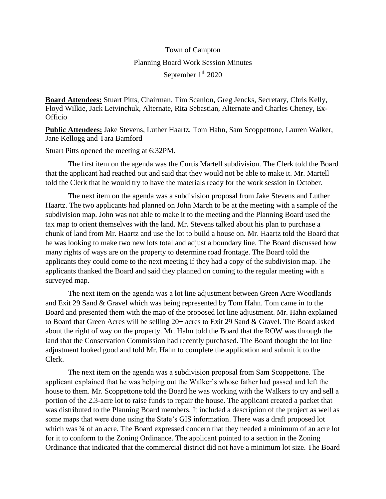## Town of Campton Planning Board Work Session Minutes September 1<sup>th</sup> 2020

**Board Attendees:** Stuart Pitts, Chairman, Tim Scanlon, Greg Jencks, Secretary, Chris Kelly, Floyd Wilkie, Jack Letvinchuk, Alternate, Rita Sebastian, Alternate and Charles Cheney, Ex-**Officio** 

**Public Attendees:** Jake Stevens, Luther Haartz, Tom Hahn, Sam Scoppettone, Lauren Walker, Jane Kellogg and Tara Bamford

Stuart Pitts opened the meeting at 6:32PM.

The first item on the agenda was the Curtis Martell subdivision. The Clerk told the Board that the applicant had reached out and said that they would not be able to make it. Mr. Martell told the Clerk that he would try to have the materials ready for the work session in October.

The next item on the agenda was a subdivision proposal from Jake Stevens and Luther Haartz. The two applicants had planned on John March to be at the meeting with a sample of the subdivision map. John was not able to make it to the meeting and the Planning Board used the tax map to orient themselves with the land. Mr. Stevens talked about his plan to purchase a chunk of land from Mr. Haartz and use the lot to build a house on. Mr. Haartz told the Board that he was looking to make two new lots total and adjust a boundary line. The Board discussed how many rights of ways are on the property to determine road frontage. The Board told the applicants they could come to the next meeting if they had a copy of the subdivision map. The applicants thanked the Board and said they planned on coming to the regular meeting with a surveyed map.

The next item on the agenda was a lot line adjustment between Green Acre Woodlands and Exit 29 Sand & Gravel which was being represented by Tom Hahn. Tom came in to the Board and presented them with the map of the proposed lot line adjustment. Mr. Hahn explained to Board that Green Acres will be selling 20+ acres to Exit 29 Sand & Gravel. The Board asked about the right of way on the property. Mr. Hahn told the Board that the ROW was through the land that the Conservation Commission had recently purchased. The Board thought the lot line adjustment looked good and told Mr. Hahn to complete the application and submit it to the Clerk.

The next item on the agenda was a subdivision proposal from Sam Scoppettone. The applicant explained that he was helping out the Walker's whose father had passed and left the house to them. Mr. Scoppettone told the Board he was working with the Walkers to try and sell a portion of the 2.3-acre lot to raise funds to repair the house. The applicant created a packet that was distributed to the Planning Board members. It included a description of the project as well as some maps that were done using the State's GIS information. There was a draft proposed lot which was  $\frac{3}{4}$  of an acre. The Board expressed concern that they needed a minimum of an acre lot for it to conform to the Zoning Ordinance. The applicant pointed to a section in the Zoning Ordinance that indicated that the commercial district did not have a minimum lot size. The Board